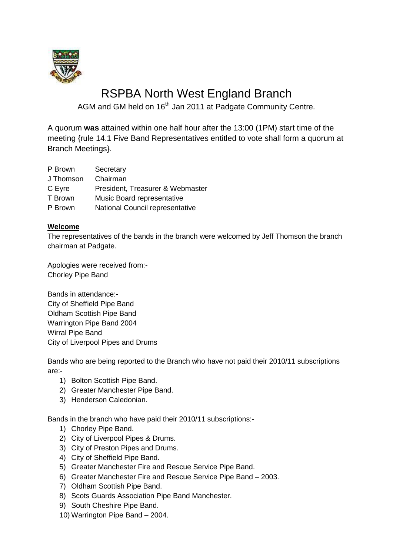

# RSPBA North West England Branch

AGM and GM held on 16<sup>th</sup> Jan 2011 at Padgate Community Centre.

A quorum **was** attained within one half hour after the 13:00 (1PM) start time of the meeting {rule 14.1 Five Band Representatives entitled to vote shall form a quorum at Branch Meetings}.

- P Brown Secretary
- J Thomson Chairman
- C Eyre President, Treasurer & Webmaster
- T Brown Music Board representative
- P Brown National Council representative

## **Welcome**

The representatives of the bands in the branch were welcomed by Jeff Thomson the branch chairman at Padgate.

Apologies were received from:- Chorley Pipe Band

Bands in attendance:- City of Sheffield Pipe Band Oldham Scottish Pipe Band Warrington Pipe Band 2004 Wirral Pipe Band City of Liverpool Pipes and Drums

Bands who are being reported to the Branch who have not paid their 2010/11 subscriptions are:-

- 1) Bolton Scottish Pipe Band.
- 2) Greater Manchester Pipe Band.
- 3) Henderson Caledonian.

Bands in the branch who have paid their 2010/11 subscriptions:-

- 1) Chorley Pipe Band.
- 2) City of Liverpool Pipes & Drums.
- 3) City of Preston Pipes and Drums.
- 4) City of Sheffield Pipe Band.
- 5) Greater Manchester Fire and Rescue Service Pipe Band.
- 6) Greater Manchester Fire and Rescue Service Pipe Band 2003.
- 7) Oldham Scottish Pipe Band.
- 8) Scots Guards Association Pipe Band Manchester.
- 9) South Cheshire Pipe Band.
- 10) Warrington Pipe Band 2004.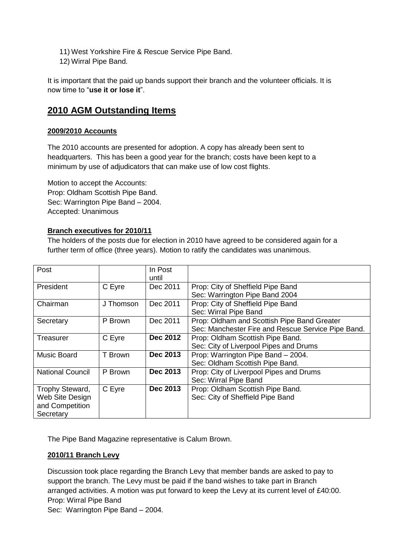- 11) West Yorkshire Fire & Rescue Service Pipe Band.
- 12) Wirral Pipe Band.

It is important that the paid up bands support their branch and the volunteer officials. It is now time to "**use it or lose it**".

## **2010 AGM Outstanding Items**

#### **2009/2010 Accounts**

The 2010 accounts are presented for adoption. A copy has already been sent to headquarters. This has been a good year for the branch; costs have been kept to a minimum by use of adjudicators that can make use of low cost flights.

Motion to accept the Accounts: Prop: Oldham Scottish Pipe Band. Sec: Warrington Pipe Band – 2004. Accepted: Unanimous

#### **Branch executives for 2010/11**

The holders of the posts due for election in 2010 have agreed to be considered again for a further term of office (three years). Motion to ratify the candidates was unanimous.

| Post                    |           | In Post         |                                                    |
|-------------------------|-----------|-----------------|----------------------------------------------------|
|                         |           | until           |                                                    |
| President               | C Eyre    | Dec 2011        | Prop: City of Sheffield Pipe Band                  |
|                         |           |                 | Sec: Warrington Pipe Band 2004                     |
| Chairman                | J Thomson | Dec 2011        | Prop: City of Sheffield Pipe Band                  |
|                         |           |                 | Sec: Wirral Pipe Band                              |
| Secretary               | P Brown   | Dec 2011        | Prop: Oldham and Scottish Pipe Band Greater        |
|                         |           |                 | Sec: Manchester Fire and Rescue Service Pipe Band. |
| Treasurer               | C Eyre    | <b>Dec 2012</b> | Prop: Oldham Scottish Pipe Band.                   |
|                         |           |                 | Sec: City of Liverpool Pipes and Drums             |
| <b>Music Board</b>      | T Brown   | Dec 2013        | Prop: Warrington Pipe Band - 2004.                 |
|                         |           |                 | Sec: Oldham Scottish Pipe Band.                    |
| <b>National Council</b> | P Brown   | Dec 2013        | Prop: City of Liverpool Pipes and Drums            |
|                         |           |                 | Sec: Wirral Pipe Band                              |
| Trophy Steward,         | C Eyre    | Dec 2013        | Prop: Oldham Scottish Pipe Band.                   |
| Web Site Design         |           |                 | Sec: City of Sheffield Pipe Band                   |
| and Competition         |           |                 |                                                    |
| Secretary               |           |                 |                                                    |

The Pipe Band Magazine representative is Calum Brown.

## **2010/11 Branch Levy**

Discussion took place regarding the Branch Levy that member bands are asked to pay to support the branch. The Levy must be paid if the band wishes to take part in Branch arranged activities. A motion was put forward to keep the Levy at its current level of £40:00. Prop: Wirral Pipe Band

Sec: Warrington Pipe Band – 2004.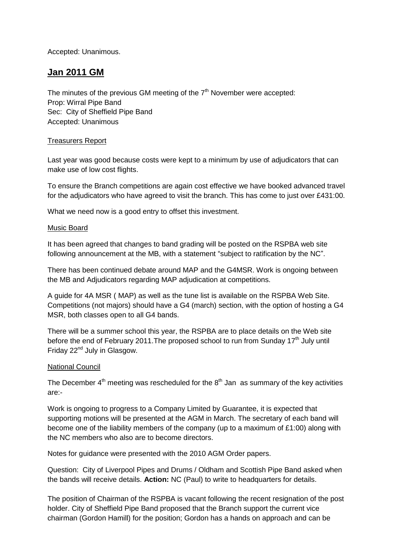Accepted: Unanimous.

# **Jan 2011 GM**

The minutes of the previous GM meeting of the  $7<sup>th</sup>$  November were accepted: Prop: Wirral Pipe Band Sec: City of Sheffield Pipe Band Accepted: Unanimous

#### Treasurers Report

Last year was good because costs were kept to a minimum by use of adjudicators that can make use of low cost flights.

To ensure the Branch competitions are again cost effective we have booked advanced travel for the adjudicators who have agreed to visit the branch. This has come to just over £431:00.

What we need now is a good entry to offset this investment.

#### Music Board

It has been agreed that changes to band grading will be posted on the RSPBA web site following announcement at the MB, with a statement "subject to ratification by the NC".

There has been continued debate around MAP and the G4MSR. Work is ongoing between the MB and Adjudicators regarding MAP adjudication at competitions.

A guide for 4A MSR ( MAP) as well as the tune list is available on the RSPBA Web Site. Competitions (not majors) should have a G4 (march) section, with the option of hosting a G4 MSR, both classes open to all G4 bands.

There will be a summer school this year, the RSPBA are to place details on the Web site before the end of February 2011. The proposed school to run from Sunday 17<sup>th</sup> July until Friday 22<sup>nd</sup> July in Glasgow.

#### National Council

The December  $4<sup>th</sup>$  meeting was rescheduled for the  $8<sup>th</sup>$  Jan as summary of the key activities are:-

Work is ongoing to progress to a Company Limited by Guarantee, it is expected that supporting motions will be presented at the AGM in March. The secretary of each band will become one of the liability members of the company (up to a maximum of £1:00) along with the NC members who also are to become directors.

Notes for guidance were presented with the 2010 AGM Order papers.

Question: City of Liverpool Pipes and Drums / Oldham and Scottish Pipe Band asked when the bands will receive details. **Action:** NC (Paul) to write to headquarters for details.

The position of Chairman of the RSPBA is vacant following the recent resignation of the post holder. City of Sheffield Pipe Band proposed that the Branch support the current vice chairman (Gordon Hamill) for the position; Gordon has a hands on approach and can be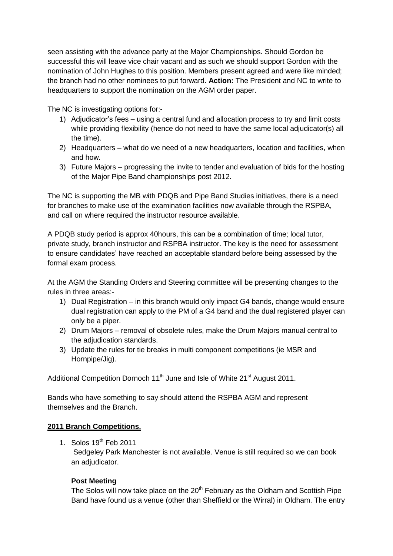seen assisting with the advance party at the Major Championships. Should Gordon be successful this will leave vice chair vacant and as such we should support Gordon with the nomination of John Hughes to this position. Members present agreed and were like minded; the branch had no other nominees to put forward. **Action:** The President and NC to write to headquarters to support the nomination on the AGM order paper.

The NC is investigating options for:-

- 1) Adjudicator's fees using a central fund and allocation process to try and limit costs while providing flexibility (hence do not need to have the same local adjudicator(s) all the time).
- 2) Headquarters what do we need of a new headquarters, location and facilities, when and how.
- 3) Future Majors progressing the invite to tender and evaluation of bids for the hosting of the Major Pipe Band championships post 2012.

The NC is supporting the MB with PDQB and Pipe Band Studies initiatives, there is a need for branches to make use of the examination facilities now available through the RSPBA, and call on where required the instructor resource available.

A PDQB study period is approx 40hours, this can be a combination of time; local tutor, private study, branch instructor and RSPBA instructor. The key is the need for assessment to ensure candidates' have reached an acceptable standard before being assessed by the formal exam process.

At the AGM the Standing Orders and Steering committee will be presenting changes to the rules in three areas:-

- 1) Dual Registration in this branch would only impact G4 bands, change would ensure dual registration can apply to the PM of a G4 band and the dual registered player can only be a piper.
- 2) Drum Majors removal of obsolete rules, make the Drum Majors manual central to the adjudication standards.
- 3) Update the rules for tie breaks in multi component competitions (ie MSR and Hornpipe/Jig).

Additional Competition Dornoch 11<sup>th</sup> June and Isle of White 21<sup>st</sup> August 2011.

Bands who have something to say should attend the RSPBA AGM and represent themselves and the Branch.

#### **2011 Branch Competitions.**

1. Solos  $19<sup>th</sup>$  Feb 2011 Sedgeley Park Manchester is not available. Venue is still required so we can book an adjudicator.

## **Post Meeting**

The Solos will now take place on the  $20<sup>th</sup>$  February as the Oldham and Scottish Pipe Band have found us a venue (other than Sheffield or the Wirral) in Oldham. The entry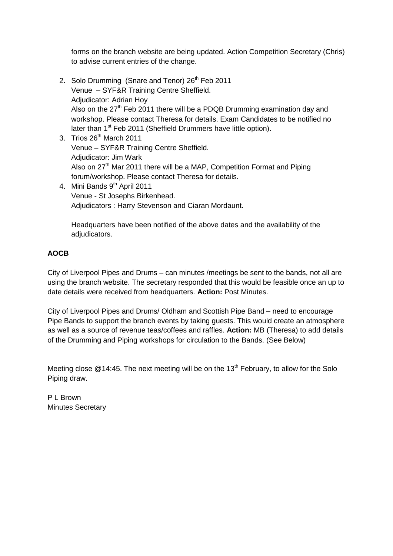forms on the branch website are being updated. Action Competition Secretary (Chris) to advise current entries of the change.

- 2. Solo Drumming (Snare and Tenor) 26<sup>th</sup> Feb 2011 Venue – SYF&R Training Centre Sheffield. Adjudicator: Adrian Hoy Also on the 27<sup>th</sup> Feb 2011 there will be a PDQB Drumming examination day and workshop. Please contact Theresa for details. Exam Candidates to be notified no later than 1<sup>st</sup> Feb 2011 (Sheffield Drummers have little option).
- 3. Trios  $26<sup>th</sup>$  March 2011 Venue – SYF&R Training Centre Sheffield. Adjudicator: Jim Wark Also on  $27<sup>th</sup>$  Mar 2011 there will be a MAP, Competition Format and Piping forum/workshop. Please contact Theresa for details.
- 4. Mini Bands 9<sup>th</sup> April 2011 Venue - St Josephs Birkenhead. Adjudicators : Harry Stevenson and Ciaran Mordaunt.

Headquarters have been notified of the above dates and the availability of the adjudicators.

## **AOCB**

City of Liverpool Pipes and Drums – can minutes /meetings be sent to the bands, not all are using the branch website. The secretary responded that this would be feasible once an up to date details were received from headquarters. **Action:** Post Minutes.

City of Liverpool Pipes and Drums/ Oldham and Scottish Pipe Band – need to encourage Pipe Bands to support the branch events by taking guests. This would create an atmosphere as well as a source of revenue teas/coffees and raffles. **Action:** MB (Theresa) to add details of the Drumming and Piping workshops for circulation to the Bands. (See Below)

Meeting close  $@14:45$ . The next meeting will be on the 13<sup>th</sup> February, to allow for the Solo Piping draw.

P L Brown Minutes Secretary